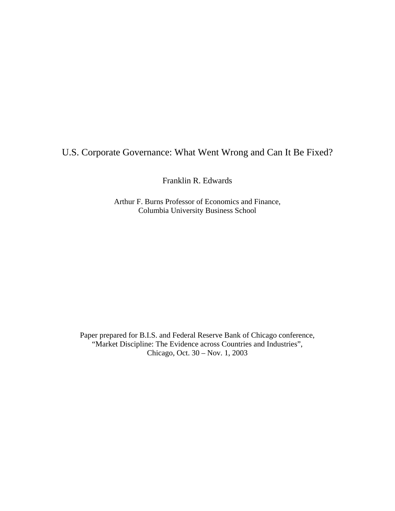# U.S. Corporate Governance: What Went Wrong and Can It Be Fixed?

Franklin R. Edwards

Arthur F. Burns Professor of Economics and Finance, Columbia University Business School

Paper prepared for B.I.S. and Federal Reserve Bank of Chicago conference, "Market Discipline: The Evidence across Countries and Industries", Chicago, Oct. 30 – Nov. 1, 2003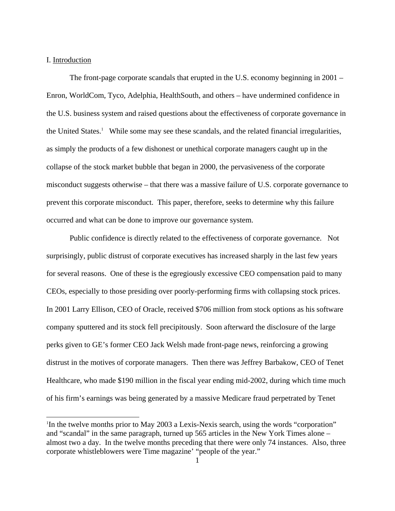## I. Introduction

l

 The front-page corporate scandals that erupted in the U.S. economy beginning in 2001 – Enron, WorldCom, Tyco, Adelphia, HealthSouth, and others – have undermined confidence in the U.S. business system and raised questions about the effectiveness of corporate governance in the United States.<sup>1</sup> While some may see these scandals, and the related financial irregularities, as simply the products of a few dishonest or unethical corporate managers caught up in the collapse of the stock market bubble that began in 2000, the pervasiveness of the corporate misconduct suggests otherwise – that there was a massive failure of U.S. corporate governance to prevent this corporate misconduct. This paper, therefore, seeks to determine why this failure occurred and what can be done to improve our governance system.

 Public confidence is directly related to the effectiveness of corporate governance. Not surprisingly, public distrust of corporate executives has increased sharply in the last few years for several reasons. One of these is the egregiously excessive CEO compensation paid to many CEOs, especially to those presiding over poorly-performing firms with collapsing stock prices. In 2001 Larry Ellison, CEO of Oracle, received \$706 million from stock options as his software company sputtered and its stock fell precipitously. Soon afterward the disclosure of the large perks given to GE's former CEO Jack Welsh made front-page news, reinforcing a growing distrust in the motives of corporate managers. Then there was Jeffrey Barbakow, CEO of Tenet Healthcare, who made \$190 million in the fiscal year ending mid-2002, during which time much of his firm's earnings was being generated by a massive Medicare fraud perpetrated by Tenet

<sup>&</sup>lt;sup>1</sup>In the twelve months prior to May 2003 a Lexis-Nexis search, using the words "corporation" and "scandal" in the same paragraph, turned up 565 articles in the New York Times alone – almost two a day. In the twelve months preceding that there were only 74 instances. Also, three corporate whistleblowers were Time magazine' "people of the year."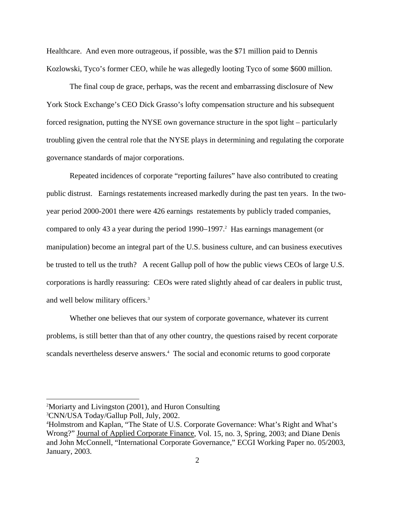Healthcare. And even more outrageous, if possible, was the \$71 million paid to Dennis Kozlowski, Tyco's former CEO, while he was allegedly looting Tyco of some \$600 million.

 The final coup de grace, perhaps, was the recent and embarrassing disclosure of New York Stock Exchange's CEO Dick Grasso's lofty compensation structure and his subsequent forced resignation, putting the NYSE own governance structure in the spot light – particularly troubling given the central role that the NYSE plays in determining and regulating the corporate governance standards of major corporations.

 Repeated incidences of corporate "reporting failures" have also contributed to creating public distrust. Earnings restatements increased markedly during the past ten years. In the twoyear period 2000-2001 there were 426 earnings restatements by publicly traded companies, compared to only 43 a year during the period  $1990-1997$ .<sup>2</sup> Has earnings management (or manipulation) become an integral part of the U.S. business culture, and can business executives be trusted to tell us the truth? A recent Gallup poll of how the public views CEOs of large U.S. corporations is hardly reassuring: CEOs were rated slightly ahead of car dealers in public trust, and well below military officers.<sup>3</sup>

 Whether one believes that our system of corporate governance, whatever its current problems, is still better than that of any other country, the questions raised by recent corporate scandals nevertheless deserve answers.<sup>4</sup> The social and economic returns to good corporate

<sup>2</sup> Moriarty and Livingston (2001), and Huron Consulting

<sup>3</sup> CNN/USA Today/Gallup Poll, July, 2002.

<sup>4</sup> Holmstrom and Kaplan, "The State of U.S. Corporate Governance: What's Right and What's Wrong?" Journal of Applied Corporate Finance, Vol. 15, no. 3, Spring, 2003; and Diane Denis and John McConnell, "International Corporate Governance," ECGI Working Paper no. 05/2003, January, 2003.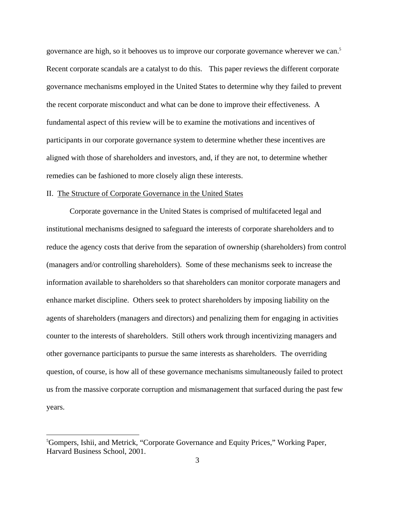governance are high, so it behooves us to improve our corporate governance wherever we can.<sup>5</sup> Recent corporate scandals are a catalyst to do this. This paper reviews the different corporate governance mechanisms employed in the United States to determine why they failed to prevent the recent corporate misconduct and what can be done to improve their effectiveness. A fundamental aspect of this review will be to examine the motivations and incentives of participants in our corporate governance system to determine whether these incentives are aligned with those of shareholders and investors, and, if they are not, to determine whether remedies can be fashioned to more closely align these interests.

#### II. The Structure of Corporate Governance in the United States

 Corporate governance in the United States is comprised of multifaceted legal and institutional mechanisms designed to safeguard the interests of corporate shareholders and to reduce the agency costs that derive from the separation of ownership (shareholders) from control (managers and/or controlling shareholders). Some of these mechanisms seek to increase the information available to shareholders so that shareholders can monitor corporate managers and enhance market discipline. Others seek to protect shareholders by imposing liability on the agents of shareholders (managers and directors) and penalizing them for engaging in activities counter to the interests of shareholders. Still others work through incentivizing managers and other governance participants to pursue the same interests as shareholders. The overriding question, of course, is how all of these governance mechanisms simultaneously failed to protect us from the massive corporate corruption and mismanagement that surfaced during the past few years.

<sup>5</sup> Gompers, Ishii, and Metrick, "Corporate Governance and Equity Prices," Working Paper, Harvard Business School, 2001.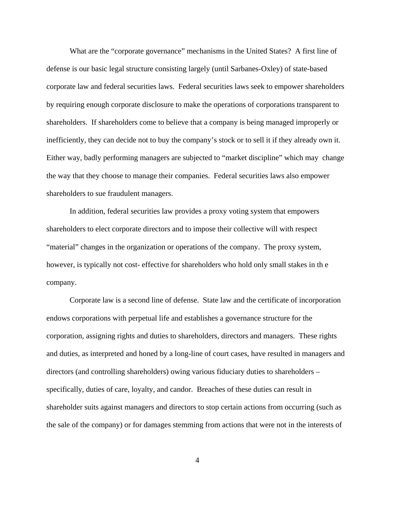What are the "corporate governance" mechanisms in the United States? A first line of defense is our basic legal structure consisting largely (until Sarbanes-Oxley) of state-based corporate law and federal securities laws. Federal securities laws seek to empower shareholders by requiring enough corporate disclosure to make the operations of corporations transparent to shareholders. If shareholders come to believe that a company is being managed improperly or inefficiently, they can decide not to buy the company's stock or to sell it if they already own it. Either way, badly performing managers are subjected to "market discipline" which may change the way that they choose to manage their companies. Federal securities laws also empower shareholders to sue fraudulent managers.

 In addition, federal securities law provides a proxy voting system that empowers shareholders to elect corporate directors and to impose their collective will with respect "material" changes in the organization or operations of the company. The proxy system, however, is typically not cost- effective for shareholders who hold only small stakes in th e company.

 Corporate law is a second line of defense. State law and the certificate of incorporation endows corporations with perpetual life and establishes a governance structure for the corporation, assigning rights and duties to shareholders, directors and managers. These rights and duties, as interpreted and honed by a long-line of court cases, have resulted in managers and directors (and controlling shareholders) owing various fiduciary duties to shareholders – specifically, duties of care, loyalty, and candor. Breaches of these duties can result in shareholder suits against managers and directors to stop certain actions from occurring (such as the sale of the company) or for damages stemming from actions that were not in the interests of

4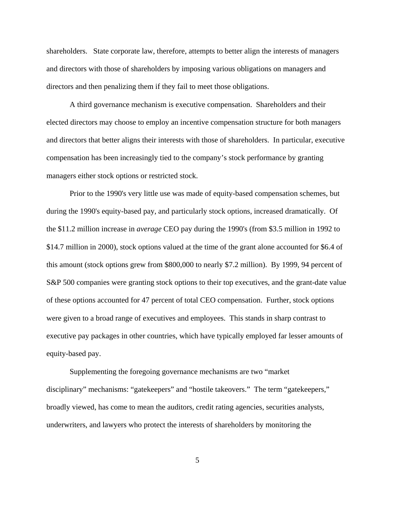shareholders. State corporate law, therefore, attempts to better align the interests of managers and directors with those of shareholders by imposing various obligations on managers and directors and then penalizing them if they fail to meet those obligations.

 A third governance mechanism is executive compensation. Shareholders and their elected directors may choose to employ an incentive compensation structure for both managers and directors that better aligns their interests with those of shareholders. In particular, executive compensation has been increasingly tied to the company's stock performance by granting managers either stock options or restricted stock.

 Prior to the 1990's very little use was made of equity-based compensation schemes, but during the 1990's equity-based pay, and particularly stock options, increased dramatically. Of the \$11.2 million increase in *average* CEO pay during the 1990's (from \$3.5 million in 1992 to \$14.7 million in 2000), stock options valued at the time of the grant alone accounted for \$6.4 of this amount (stock options grew from \$800,000 to nearly \$7.2 million). By 1999, 94 percent of S&P 500 companies were granting stock options to their top executives, and the grant-date value of these options accounted for 47 percent of total CEO compensation. Further, stock options were given to a broad range of executives and employees. This stands in sharp contrast to executive pay packages in other countries, which have typically employed far lesser amounts of equity-based pay.

 Supplementing the foregoing governance mechanisms are two "market disciplinary" mechanisms: "gatekeepers" and "hostile takeovers." The term "gatekeepers," broadly viewed, has come to mean the auditors, credit rating agencies, securities analysts, underwriters, and lawyers who protect the interests of shareholders by monitoring the

5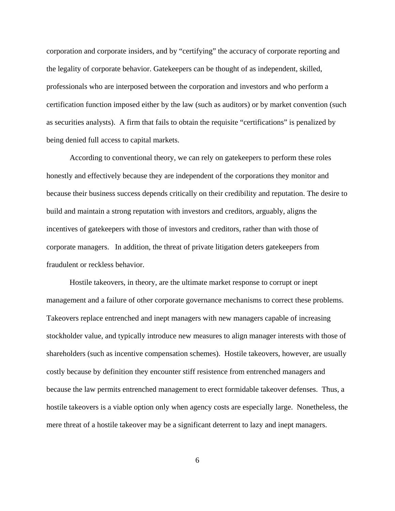corporation and corporate insiders, and by "certifying" the accuracy of corporate reporting and the legality of corporate behavior. Gatekeepers can be thought of as independent, skilled, professionals who are interposed between the corporation and investors and who perform a certification function imposed either by the law (such as auditors) or by market convention (such as securities analysts). A firm that fails to obtain the requisite "certifications" is penalized by being denied full access to capital markets.

 According to conventional theory, we can rely on gatekeepers to perform these roles honestly and effectively because they are independent of the corporations they monitor and because their business success depends critically on their credibility and reputation. The desire to build and maintain a strong reputation with investors and creditors, arguably, aligns the incentives of gatekeepers with those of investors and creditors, rather than with those of corporate managers. In addition, the threat of private litigation deters gatekeepers from fraudulent or reckless behavior.

 Hostile takeovers, in theory, are the ultimate market response to corrupt or inept management and a failure of other corporate governance mechanisms to correct these problems. Takeovers replace entrenched and inept managers with new managers capable of increasing stockholder value, and typically introduce new measures to align manager interests with those of shareholders (such as incentive compensation schemes). Hostile takeovers, however, are usually costly because by definition they encounter stiff resistence from entrenched managers and because the law permits entrenched management to erect formidable takeover defenses. Thus, a hostile takeovers is a viable option only when agency costs are especially large. Nonetheless, the mere threat of a hostile takeover may be a significant deterrent to lazy and inept managers.

 $\sim$  6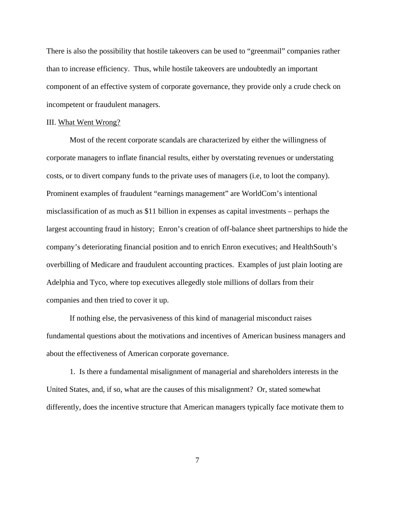There is also the possibility that hostile takeovers can be used to "greenmail" companies rather than to increase efficiency. Thus, while hostile takeovers are undoubtedly an important component of an effective system of corporate governance, they provide only a crude check on incompetent or fraudulent managers.

#### III. What Went Wrong?

 Most of the recent corporate scandals are characterized by either the willingness of corporate managers to inflate financial results, either by overstating revenues or understating costs, or to divert company funds to the private uses of managers (i.e, to loot the company). Prominent examples of fraudulent "earnings management" are WorldCom's intentional misclassification of as much as \$11 billion in expenses as capital investments – perhaps the largest accounting fraud in history; Enron's creation of off-balance sheet partnerships to hide the company's deteriorating financial position and to enrich Enron executives; and HealthSouth's overbilling of Medicare and fraudulent accounting practices. Examples of just plain looting are Adelphia and Tyco, where top executives allegedly stole millions of dollars from their companies and then tried to cover it up.

 If nothing else, the pervasiveness of this kind of managerial misconduct raises fundamental questions about the motivations and incentives of American business managers and about the effectiveness of American corporate governance.

 1. Is there a fundamental misalignment of managerial and shareholders interests in the United States, and, if so, what are the causes of this misalignment? Or, stated somewhat differently, does the incentive structure that American managers typically face motivate them to

7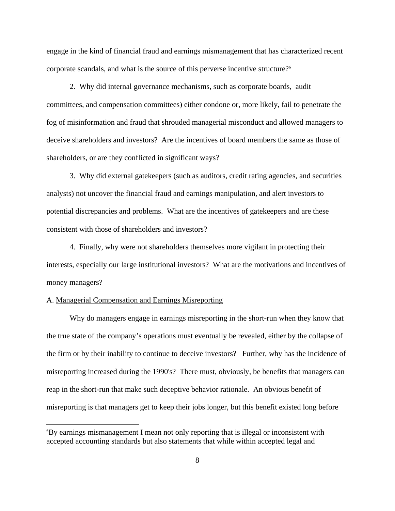engage in the kind of financial fraud and earnings mismanagement that has characterized recent corporate scandals, and what is the source of this perverse incentive structure?<sup>6</sup>

 2. Why did internal governance mechanisms, such as corporate boards, audit committees, and compensation committees) either condone or, more likely, fail to penetrate the fog of misinformation and fraud that shrouded managerial misconduct and allowed managers to deceive shareholders and investors? Are the incentives of board members the same as those of shareholders, or are they conflicted in significant ways?

 3. Why did external gatekeepers (such as auditors, credit rating agencies, and securities analysts) not uncover the financial fraud and earnings manipulation, and alert investors to potential discrepancies and problems. What are the incentives of gatekeepers and are these consistent with those of shareholders and investors?

 4. Finally, why were not shareholders themselves more vigilant in protecting their interests, especially our large institutional investors? What are the motivations and incentives of money managers?

# A. Managerial Compensation and Earnings Misreporting

 $\overline{a}$ 

 Why do managers engage in earnings misreporting in the short-run when they know that the true state of the company's operations must eventually be revealed, either by the collapse of the firm or by their inability to continue to deceive investors? Further, why has the incidence of misreporting increased during the 1990's? There must, obviously, be benefits that managers can reap in the short-run that make such deceptive behavior rationale. An obvious benefit of misreporting is that managers get to keep their jobs longer, but this benefit existed long before

<sup>6</sup> By earnings mismanagement I mean not only reporting that is illegal or inconsistent with accepted accounting standards but also statements that while within accepted legal and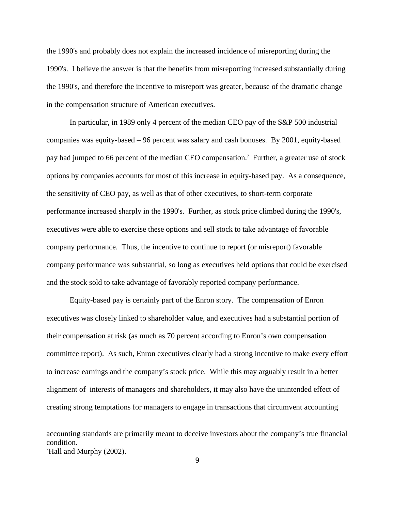the 1990's and probably does not explain the increased incidence of misreporting during the 1990's. I believe the answer is that the benefits from misreporting increased substantially during the 1990's, and therefore the incentive to misreport was greater, because of the dramatic change in the compensation structure of American executives.

 In particular, in 1989 only 4 percent of the median CEO pay of the S&P 500 industrial companies was equity-based – 96 percent was salary and cash bonuses. By 2001, equity-based pay had jumped to 66 percent of the median CEO compensation.<sup>7</sup> Further, a greater use of stock options by companies accounts for most of this increase in equity-based pay. As a consequence, the sensitivity of CEO pay, as well as that of other executives, to short-term corporate performance increased sharply in the 1990's. Further, as stock price climbed during the 1990's, executives were able to exercise these options and sell stock to take advantage of favorable company performance. Thus, the incentive to continue to report (or misreport) favorable company performance was substantial, so long as executives held options that could be exercised and the stock sold to take advantage of favorably reported company performance.

 Equity-based pay is certainly part of the Enron story. The compensation of Enron executives was closely linked to shareholder value, and executives had a substantial portion of their compensation at risk (as much as 70 percent according to Enron's own compensation committee report). As such, Enron executives clearly had a strong incentive to make every effort to increase earnings and the company's stock price. While this may arguably result in a better alignment of interests of managers and shareholders, it may also have the unintended effect of creating strong temptations for managers to engage in transactions that circumvent accounting

accounting standards are primarily meant to deceive investors about the company's true financial condition.

<sup>7</sup> Hall and Murphy (2002).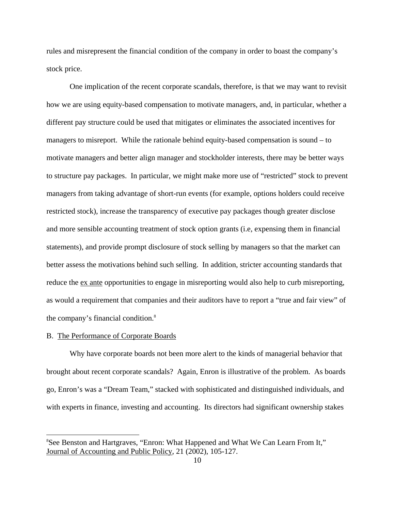rules and misrepresent the financial condition of the company in order to boast the company's stock price.

 One implication of the recent corporate scandals, therefore, is that we may want to revisit how we are using equity-based compensation to motivate managers, and, in particular, whether a different pay structure could be used that mitigates or eliminates the associated incentives for managers to misreport. While the rationale behind equity-based compensation is sound – to motivate managers and better align manager and stockholder interests, there may be better ways to structure pay packages. In particular, we might make more use of "restricted" stock to prevent managers from taking advantage of short-run events (for example, options holders could receive restricted stock), increase the transparency of executive pay packages though greater disclose and more sensible accounting treatment of stock option grants (i.e, expensing them in financial statements), and provide prompt disclosure of stock selling by managers so that the market can better assess the motivations behind such selling. In addition, stricter accounting standards that reduce the ex ante opportunities to engage in misreporting would also help to curb misreporting, as would a requirement that companies and their auditors have to report a "true and fair view" of the company's financial condition.<sup>8</sup>

### B. The Performance of Corporate Boards

 $\overline{a}$ 

 Why have corporate boards not been more alert to the kinds of managerial behavior that brought about recent corporate scandals? Again, Enron is illustrative of the problem. As boards go, Enron's was a "Dream Team," stacked with sophisticated and distinguished individuals, and with experts in finance, investing and accounting. Its directors had significant ownership stakes

<sup>&</sup>lt;sup>8</sup>See Benston and Hartgraves, "Enron: What Happened and What We Can Learn From It," Journal of Accounting and Public Policy, 21 (2002), 105-127.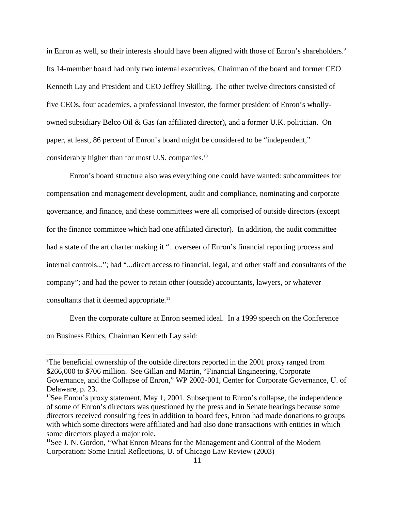in Enron as well, so their interests should have been aligned with those of Enron's shareholders.<sup>9</sup> Its 14-member board had only two internal executives, Chairman of the board and former CEO Kenneth Lay and President and CEO Jeffrey Skilling. The other twelve directors consisted of five CEOs, four academics, a professional investor, the former president of Enron's whollyowned subsidiary Belco Oil & Gas (an affiliated director), and a former U.K. politician. On paper, at least, 86 percent of Enron's board might be considered to be "independent," considerably higher than for most U.S. companies.10

 Enron's board structure also was everything one could have wanted: subcommittees for compensation and management development, audit and compliance, nominating and corporate governance, and finance, and these committees were all comprised of outside directors (except for the finance committee which had one affiliated director). In addition, the audit committee had a state of the art charter making it "...overseer of Enron's financial reporting process and internal controls..."; had "...direct access to financial, legal, and other staff and consultants of the company"; and had the power to retain other (outside) accountants, lawyers, or whatever consultants that it deemed appropriate.<sup>11</sup>

 Even the corporate culture at Enron seemed ideal. In a 1999 speech on the Conference on Business Ethics, Chairman Kenneth Lay said:

<sup>9</sup> The beneficial ownership of the outside directors reported in the 2001 proxy ranged from \$266,000 to \$706 million. See Gillan and Martin, "Financial Engineering, Corporate Governance, and the Collapse of Enron," WP 2002-001, Center for Corporate Governance, U. of Delaware, p. 23.

<sup>&</sup>lt;sup>10</sup>See Enron's proxy statement, May 1, 2001. Subsequent to Enron's collapse, the independence of some of Enron's directors was questioned by the press and in Senate hearings because some directors received consulting fees in addition to board fees, Enron had made donations to groups with which some directors were affiliated and had also done transactions with entities in which some directors played a major role.

<sup>&</sup>lt;sup>11</sup>See J. N. Gordon, "What Enron Means for the Management and Control of the Modern Corporation: Some Initial Reflections, U. of Chicago Law Review (2003)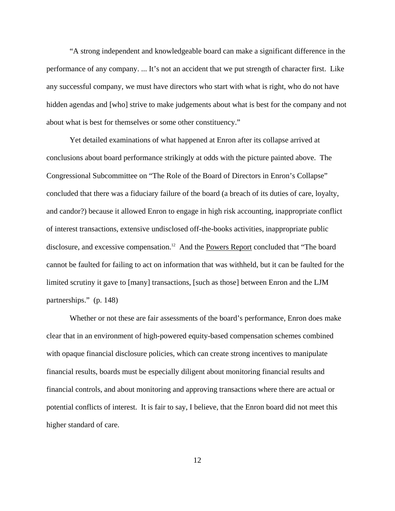"A strong independent and knowledgeable board can make a significant difference in the performance of any company. ... It's not an accident that we put strength of character first. Like any successful company, we must have directors who start with what is right, who do not have hidden agendas and [who] strive to make judgements about what is best for the company and not about what is best for themselves or some other constituency."

 Yet detailed examinations of what happened at Enron after its collapse arrived at conclusions about board performance strikingly at odds with the picture painted above. The Congressional Subcommittee on "The Role of the Board of Directors in Enron's Collapse" concluded that there was a fiduciary failure of the board (a breach of its duties of care, loyalty, and candor?) because it allowed Enron to engage in high risk accounting, inappropriate conflict of interest transactions, extensive undisclosed off-the-books activities, inappropriate public disclosure, and excessive compensation.<sup>12</sup> And the Powers Report concluded that "The board cannot be faulted for failing to act on information that was withheld, but it can be faulted for the limited scrutiny it gave to [many] transactions, [such as those] between Enron and the LJM partnerships." (p. 148)

 Whether or not these are fair assessments of the board's performance, Enron does make clear that in an environment of high-powered equity-based compensation schemes combined with opaque financial disclosure policies, which can create strong incentives to manipulate financial results, boards must be especially diligent about monitoring financial results and financial controls, and about monitoring and approving transactions where there are actual or potential conflicts of interest. It is fair to say, I believe, that the Enron board did not meet this higher standard of care.

12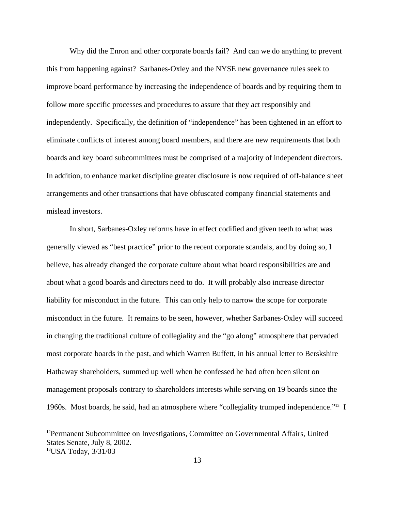Why did the Enron and other corporate boards fail? And can we do anything to prevent this from happening against? Sarbanes-Oxley and the NYSE new governance rules seek to improve board performance by increasing the independence of boards and by requiring them to follow more specific processes and procedures to assure that they act responsibly and independently. Specifically, the definition of "independence" has been tightened in an effort to eliminate conflicts of interest among board members, and there are new requirements that both boards and key board subcommittees must be comprised of a majority of independent directors. In addition, to enhance market discipline greater disclosure is now required of off-balance sheet arrangements and other transactions that have obfuscated company financial statements and mislead investors.

 In short, Sarbanes-Oxley reforms have in effect codified and given teeth to what was generally viewed as "best practice" prior to the recent corporate scandals, and by doing so, I believe, has already changed the corporate culture about what board responsibilities are and about what a good boards and directors need to do. It will probably also increase director liability for misconduct in the future. This can only help to narrow the scope for corporate misconduct in the future. It remains to be seen, however, whether Sarbanes-Oxley will succeed in changing the traditional culture of collegiality and the "go along" atmosphere that pervaded most corporate boards in the past, and which Warren Buffett, in his annual letter to Berskshire Hathaway shareholders, summed up well when he confessed he had often been silent on management proposals contrary to shareholders interests while serving on 19 boards since the 1960s. Most boards, he said, had an atmosphere where "collegiality trumped independence."<sup>13</sup> I

<sup>&</sup>lt;sup>12</sup>Permanent Subcommittee on Investigations, Committee on Governmental Affairs, United States Senate, July 8, 2002. 13USA Today, 3/31/03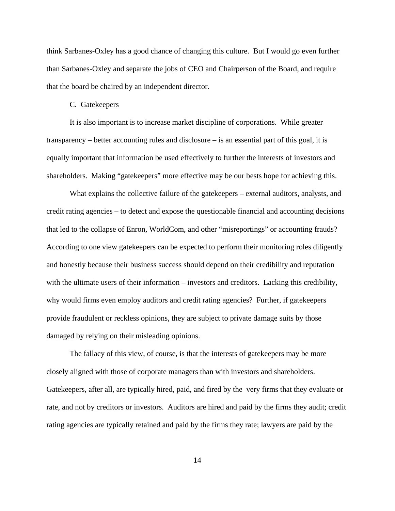think Sarbanes-Oxley has a good chance of changing this culture. But I would go even further than Sarbanes-Oxley and separate the jobs of CEO and Chairperson of the Board, and require that the board be chaired by an independent director.

#### C. Gatekeepers

 It is also important is to increase market discipline of corporations. While greater transparency – better accounting rules and disclosure – is an essential part of this goal, it is equally important that information be used effectively to further the interests of investors and shareholders. Making "gatekeepers" more effective may be our bests hope for achieving this.

 What explains the collective failure of the gatekeepers – external auditors, analysts, and credit rating agencies – to detect and expose the questionable financial and accounting decisions that led to the collapse of Enron, WorldCom, and other "misreportings" or accounting frauds? According to one view gatekeepers can be expected to perform their monitoring roles diligently and honestly because their business success should depend on their credibility and reputation with the ultimate users of their information – investors and creditors. Lacking this credibility, why would firms even employ auditors and credit rating agencies? Further, if gatekeepers provide fraudulent or reckless opinions, they are subject to private damage suits by those damaged by relying on their misleading opinions.

 The fallacy of this view, of course, is that the interests of gatekeepers may be more closely aligned with those of corporate managers than with investors and shareholders. Gatekeepers, after all, are typically hired, paid, and fired by the very firms that they evaluate or rate, and not by creditors or investors. Auditors are hired and paid by the firms they audit; credit rating agencies are typically retained and paid by the firms they rate; lawyers are paid by the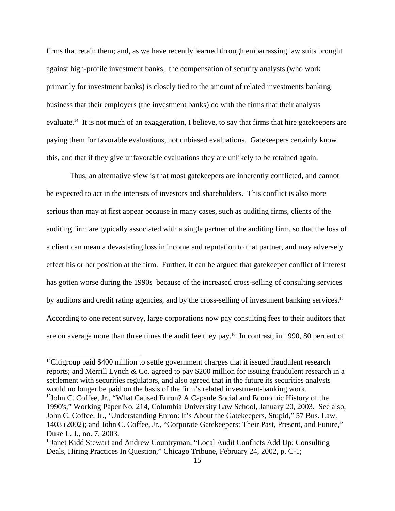firms that retain them; and, as we have recently learned through embarrassing law suits brought against high-profile investment banks, the compensation of security analysts (who work primarily for investment banks) is closely tied to the amount of related investments banking business that their employers (the investment banks) do with the firms that their analysts evaluate.<sup>14</sup> It is not much of an exaggeration, I believe, to say that firms that hire gatekeepers are paying them for favorable evaluations, not unbiased evaluations. Gatekeepers certainly know this, and that if they give unfavorable evaluations they are unlikely to be retained again.

 Thus, an alternative view is that most gatekeepers are inherently conflicted, and cannot be expected to act in the interests of investors and shareholders. This conflict is also more serious than may at first appear because in many cases, such as auditing firms, clients of the auditing firm are typically associated with a single partner of the auditing firm, so that the loss of a client can mean a devastating loss in income and reputation to that partner, and may adversely effect his or her position at the firm. Further, it can be argued that gatekeeper conflict of interest has gotten worse during the 1990s because of the increased cross-selling of consulting services by auditors and credit rating agencies, and by the cross-selling of investment banking services.<sup>15</sup> According to one recent survey, large corporations now pay consulting fees to their auditors that are on average more than three times the audit fee they pay.16 In contrast, in 1990, 80 percent of

 $14$ Citigroup paid \$400 million to settle government charges that it issued fraudulent research reports; and Merrill Lynch & Co. agreed to pay \$200 million for issuing fraudulent research in a settlement with securities regulators, and also agreed that in the future its securities analysts would no longer be paid on the basis of the firm's related investment-banking work. 15John C. Coffee, Jr., "What Caused Enron? A Capsule Social and Economic History of the 1990's," Working Paper No. 214, Columbia University Law School, January 20, 2003. See also, John C. Coffee, Jr., 'Understanding Enron: It's About the Gatekeepers, Stupid," 57 Bus. Law. 1403 (2002); and John C. Coffee, Jr., "Corporate Gatekeepers: Their Past, Present, and Future," Duke L. J., no. 7, 2003.

<sup>&</sup>lt;sup>16</sup>Janet Kidd Stewart and Andrew Countryman, "Local Audit Conflicts Add Up: Consulting Deals, Hiring Practices In Question," Chicago Tribune, February 24, 2002, p. C-1;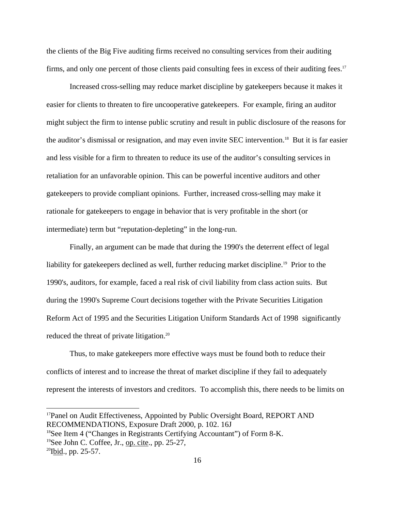the clients of the Big Five auditing firms received no consulting services from their auditing firms, and only one percent of those clients paid consulting fees in excess of their auditing fees.<sup>17</sup>

 Increased cross-selling may reduce market discipline by gatekeepers because it makes it easier for clients to threaten to fire uncooperative gatekeepers. For example, firing an auditor might subject the firm to intense public scrutiny and result in public disclosure of the reasons for the auditor's dismissal or resignation, and may even invite SEC intervention.18 But it is far easier and less visible for a firm to threaten to reduce its use of the auditor's consulting services in retaliation for an unfavorable opinion. This can be powerful incentive auditors and other gatekeepers to provide compliant opinions. Further, increased cross-selling may make it rationale for gatekeepers to engage in behavior that is very profitable in the short (or intermediate) term but "reputation-depleting" in the long-run.

 Finally, an argument can be made that during the 1990's the deterrent effect of legal liability for gatekeepers declined as well, further reducing market discipline.<sup>19</sup> Prior to the 1990's, auditors, for example, faced a real risk of civil liability from class action suits. But during the 1990's Supreme Court decisions together with the Private Securities Litigation Reform Act of 1995 and the Securities Litigation Uniform Standards Act of 1998 significantly reduced the threat of private litigation.<sup>20</sup>

 Thus, to make gatekeepers more effective ways must be found both to reduce their conflicts of interest and to increase the threat of market discipline if they fail to adequately represent the interests of investors and creditors. To accomplish this, there needs to be limits on

<sup>&</sup>lt;sup>17</sup>Panel on Audit Effectiveness, Appointed by Public Oversight Board, REPORT AND RECOMMENDATIONS, Exposure Draft 2000, p. 102. 16J

<sup>18</sup>See Item 4 ("Changes in Registrants Certifying Accountant") of Form 8-K.

<sup>&</sup>lt;sup>19</sup>See John C. Coffee, Jr., <u>op. cite</u>., pp. 25-27,  $^{20}$ Ibid., pp. 25-57.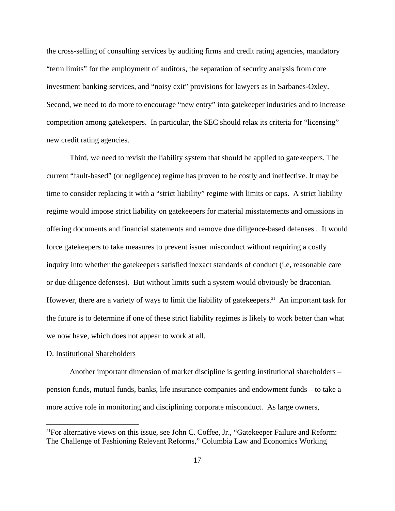the cross-selling of consulting services by auditing firms and credit rating agencies, mandatory "term limits" for the employment of auditors, the separation of security analysis from core investment banking services, and "noisy exit" provisions for lawyers as in Sarbanes-Oxley. Second, we need to do more to encourage "new entry" into gatekeeper industries and to increase competition among gatekeepers. In particular, the SEC should relax its criteria for "licensing" new credit rating agencies.

 Third, we need to revisit the liability system that should be applied to gatekeepers. The current "fault-based" (or negligence) regime has proven to be costly and ineffective. It may be time to consider replacing it with a "strict liability" regime with limits or caps. A strict liability regime would impose strict liability on gatekeepers for material misstatements and omissions in offering documents and financial statements and remove due diligence-based defenses . It would force gatekeepers to take measures to prevent issuer misconduct without requiring a costly inquiry into whether the gatekeepers satisfied inexact standards of conduct (i.e, reasonable care or due diligence defenses). But without limits such a system would obviously be draconian. However, there are a variety of ways to limit the liability of gatekeepers.<sup>21</sup> An important task for the future is to determine if one of these strict liability regimes is likely to work better than what we now have, which does not appear to work at all.

## D. Institutional Shareholders

 $\overline{a}$ 

 Another important dimension of market discipline is getting institutional shareholders – pension funds, mutual funds, banks, life insurance companies and endowment funds – to take a more active role in monitoring and disciplining corporate misconduct. As large owners,

 $21$ For alternative views on this issue, see John C. Coffee, Jr., "Gatekeeper Failure and Reform: The Challenge of Fashioning Relevant Reforms," Columbia Law and Economics Working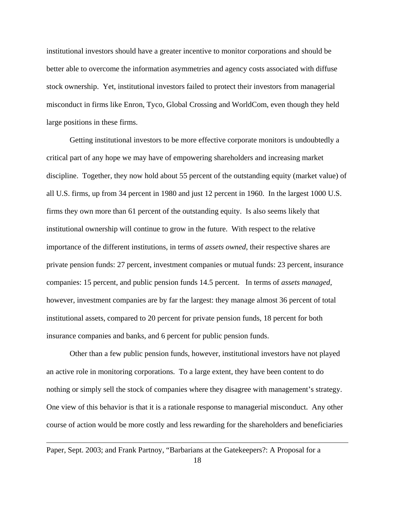institutional investors should have a greater incentive to monitor corporations and should be better able to overcome the information asymmetries and agency costs associated with diffuse stock ownership. Yet, institutional investors failed to protect their investors from managerial misconduct in firms like Enron, Tyco, Global Crossing and WorldCom, even though they held large positions in these firms.

 Getting institutional investors to be more effective corporate monitors is undoubtedly a critical part of any hope we may have of empowering shareholders and increasing market discipline. Together, they now hold about 55 percent of the outstanding equity (market value) of all U.S. firms, up from 34 percent in 1980 and just 12 percent in 1960. In the largest 1000 U.S. firms they own more than 61 percent of the outstanding equity. Is also seems likely that institutional ownership will continue to grow in the future. With respect to the relative importance of the different institutions, in terms of *assets owned*, their respective shares are private pension funds: 27 percent, investment companies or mutual funds: 23 percent, insurance companies: 15 percent, and public pension funds 14.5 percent. In terms of *assets managed*, however, investment companies are by far the largest: they manage almost 36 percent of total institutional assets, compared to 20 percent for private pension funds, 18 percent for both insurance companies and banks, and 6 percent for public pension funds.

 Other than a few public pension funds, however, institutional investors have not played an active role in monitoring corporations. To a large extent, they have been content to do nothing or simply sell the stock of companies where they disagree with management's strategy. One view of this behavior is that it is a rationale response to managerial misconduct. Any other course of action would be more costly and less rewarding for the shareholders and beneficiaries

Paper, Sept. 2003; and Frank Partnoy, "Barbarians at the Gatekeepers?: A Proposal for a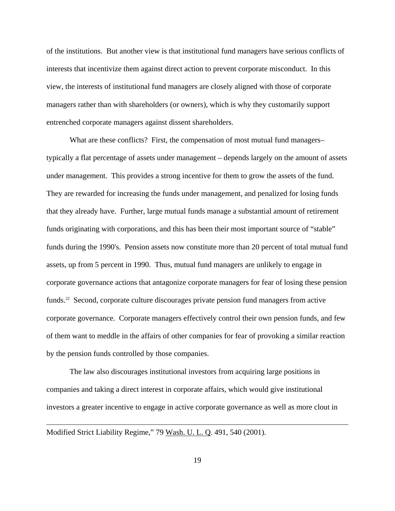of the institutions. But another view is that institutional fund managers have serious conflicts of interests that incentivize them against direct action to prevent corporate misconduct. In this view, the interests of institutional fund managers are closely aligned with those of corporate managers rather than with shareholders (or owners), which is why they customarily support entrenched corporate managers against dissent shareholders.

What are these conflicts? First, the compensation of most mutual fund managers– typically a flat percentage of assets under management – depends largely on the amount of assets under management. This provides a strong incentive for them to grow the assets of the fund. They are rewarded for increasing the funds under management, and penalized for losing funds that they already have. Further, large mutual funds manage a substantial amount of retirement funds originating with corporations, and this has been their most important source of "stable" funds during the 1990's. Pension assets now constitute more than 20 percent of total mutual fund assets, up from 5 percent in 1990. Thus, mutual fund managers are unlikely to engage in corporate governance actions that antagonize corporate managers for fear of losing these pension funds.<sup>22</sup> Second, corporate culture discourages private pension fund managers from active corporate governance. Corporate managers effectively control their own pension funds, and few of them want to meddle in the affairs of other companies for fear of provoking a similar reaction by the pension funds controlled by those companies.

 The law also discourages institutional investors from acquiring large positions in companies and taking a direct interest in corporate affairs, which would give institutional investors a greater incentive to engage in active corporate governance as well as more clout in

Modified Strict Liability Regime," 79 Wash. U. L. Q. 491, 540 (2001).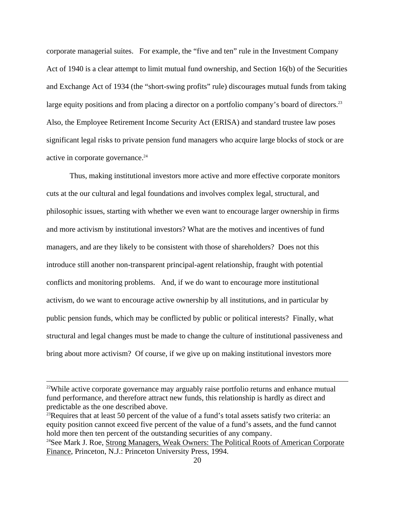corporate managerial suites. For example, the "five and ten" rule in the Investment Company Act of 1940 is a clear attempt to limit mutual fund ownership, and Section 16(b) of the Securities and Exchange Act of 1934 (the "short-swing profits" rule) discourages mutual funds from taking large equity positions and from placing a director on a portfolio company's board of directors.<sup>23</sup> Also, the Employee Retirement Income Security Act (ERISA) and standard trustee law poses significant legal risks to private pension fund managers who acquire large blocks of stock or are active in corporate governance.<sup>24</sup>

 Thus, making institutional investors more active and more effective corporate monitors cuts at the our cultural and legal foundations and involves complex legal, structural, and philosophic issues, starting with whether we even want to encourage larger ownership in firms and more activism by institutional investors? What are the motives and incentives of fund managers, and are they likely to be consistent with those of shareholders? Does not this introduce still another non-transparent principal-agent relationship, fraught with potential conflicts and monitoring problems. And, if we do want to encourage more institutional activism, do we want to encourage active ownership by all institutions, and in particular by public pension funds, which may be conflicted by public or political interests? Finally, what structural and legal changes must be made to change the culture of institutional passiveness and bring about more activism? Of course, if we give up on making institutional investors more

<sup>&</sup>lt;sup>22</sup>While active corporate governance may arguably raise portfolio returns and enhance mutual fund performance, and therefore attract new funds, this relationship is hardly as direct and predictable as the one described above.

 $^{23}$ Requires that at least 50 percent of the value of a fund's total assets satisfy two criteria: an equity position cannot exceed five percent of the value of a fund's assets, and the fund cannot hold more then ten percent of the outstanding securities of any company.<br><sup>24</sup>See Mark J. Roe, Strong Managers, Weak Owners: The Political Roots of American Corporate

Finance, Princeton, N.J.: Princeton University Press, 1994.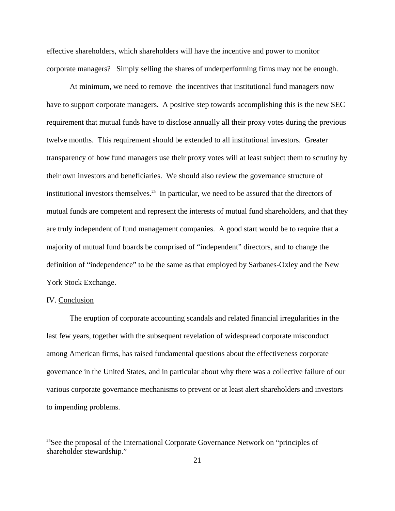effective shareholders, which shareholders will have the incentive and power to monitor corporate managers? Simply selling the shares of underperforming firms may not be enough.

 At minimum, we need to remove the incentives that institutional fund managers now have to support corporate managers. A positive step towards accomplishing this is the new SEC requirement that mutual funds have to disclose annually all their proxy votes during the previous twelve months. This requirement should be extended to all institutional investors. Greater transparency of how fund managers use their proxy votes will at least subject them to scrutiny by their own investors and beneficiaries. We should also review the governance structure of institutional investors themselves.<sup>25</sup> In particular, we need to be assured that the directors of mutual funds are competent and represent the interests of mutual fund shareholders, and that they are truly independent of fund management companies. A good start would be to require that a majority of mutual fund boards be comprised of "independent" directors, and to change the definition of "independence" to be the same as that employed by Sarbanes-Oxley and the New York Stock Exchange.

# IV. Conclusion

 $\overline{a}$ 

 The eruption of corporate accounting scandals and related financial irregularities in the last few years, together with the subsequent revelation of widespread corporate misconduct among American firms, has raised fundamental questions about the effectiveness corporate governance in the United States, and in particular about why there was a collective failure of our various corporate governance mechanisms to prevent or at least alert shareholders and investors to impending problems.

 $25$ See the proposal of the International Corporate Governance Network on "principles of shareholder stewardship."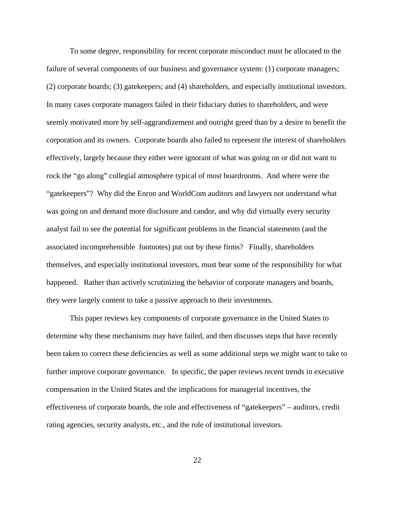To some degree, responsibility for recent corporate misconduct must be allocated to the failure of several components of our business and governance system: (1) corporate managers; (2) corporate boards; (3) gatekeepers; and (4) shareholders, and especially institutional investors. In many cases corporate managers failed in their fiduciary duties to shareholders, and were seemly motivated more by self-aggrandizement and outright greed than by a desire to benefit the corporation and its owners. Corporate boards also failed to represent the interest of shareholders effectively, largely because they either were ignorant of what was going on or did not want to rock the "go along" collegial atmosphere typical of most boardrooms. And where were the "gatekeepers"? Why did the Enron and WorldCom auditors and lawyers not understand what was going on and demand more disclosure and candor, and why did virtually every security analyst fail to see the potential for significant problems in the financial statements (and the associated incomprehensible footnotes) put out by these firms? Finally, shareholders themselves, and especially institutional investors, must bear some of the responsibility for what happened. Rather than actively scrutinizing the behavior of corporate managers and boards, they were largely content to take a passive approach to their investments.

 This paper reviews key components of corporate governance in the United States to determine why these mechanisms may have failed, and then discusses steps that have recently been taken to correct these deficiencies as well as some additional steps we might want to take to further improve corporate governance. In specific, the paper reviews recent trends in executive compensation in the United States and the implications for managerial incentives, the effectiveness of corporate boards, the role and effectiveness of "gatekeepers" – auditors, credit rating agencies, security analysts, etc., and the role of institutional investors.